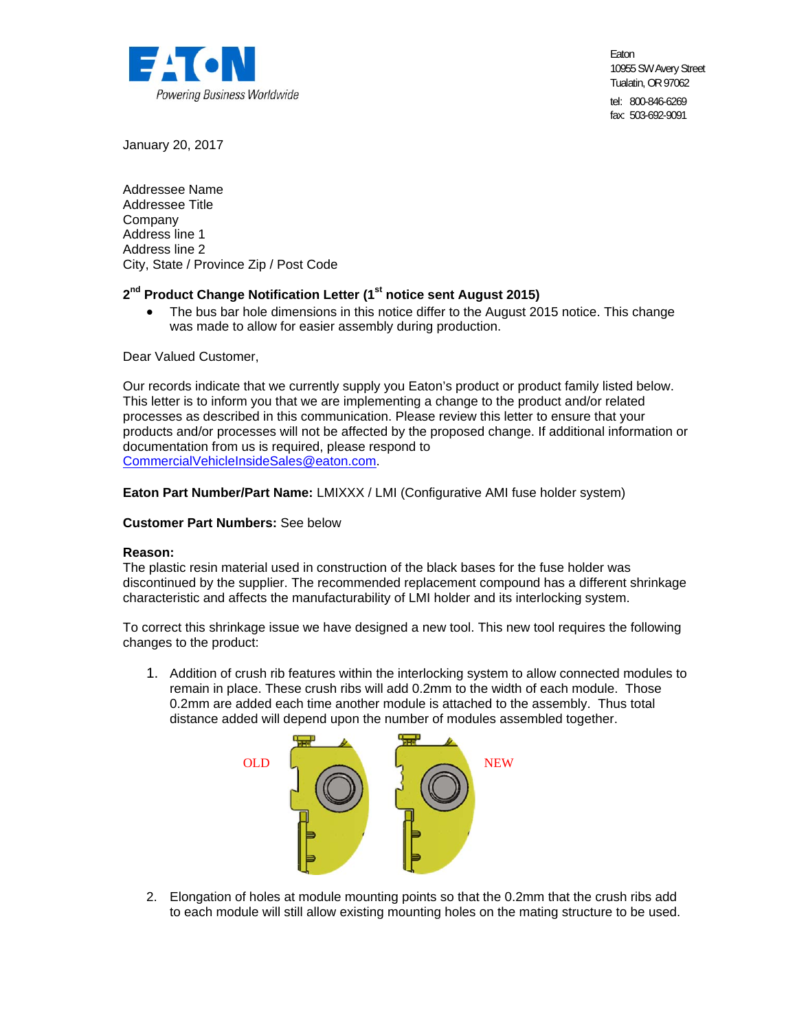

Eaton 10955 SW Avery Street Tualatin, OR 97062 tel: 800-846-6269

fax: 503-692-9091

January 20, 2017

Addressee Name Addressee Title Company Address line 1 Address line 2 City, State / Province Zip / Post Code

# 2<sup>nd</sup> Product Change Notification Letter (1<sup>st</sup> notice sent August 2015)

 The bus bar hole dimensions in this notice differ to the August 2015 notice. This change was made to allow for easier assembly during production.

Dear Valued Customer,

Our records indicate that we currently supply you Eaton's product or product family listed below. This letter is to inform you that we are implementing a change to the product and/or related processes as described in this communication. Please review this letter to ensure that your products and/or processes will not be affected by the proposed change. If additional information or documentation from us is required, please respond to CommercialVehicleInsideSales@eaton.com.

**Eaton Part Number/Part Name:** LMIXXX / LMI (Configurative AMI fuse holder system)

### **Customer Part Numbers:** See below

### **Reason:**

The plastic resin material used in construction of the black bases for the fuse holder was discontinued by the supplier. The recommended replacement compound has a different shrinkage characteristic and affects the manufacturability of LMI holder and its interlocking system.

To correct this shrinkage issue we have designed a new tool. This new tool requires the following changes to the product:

1. Addition of crush rib features within the interlocking system to allow connected modules to remain in place. These crush ribs will add 0.2mm to the width of each module. Those 0.2mm are added each time another module is attached to the assembly. Thus total distance added will depend upon the number of modules assembled together.



2. Elongation of holes at module mounting points so that the 0.2mm that the crush ribs add to each module will still allow existing mounting holes on the mating structure to be used.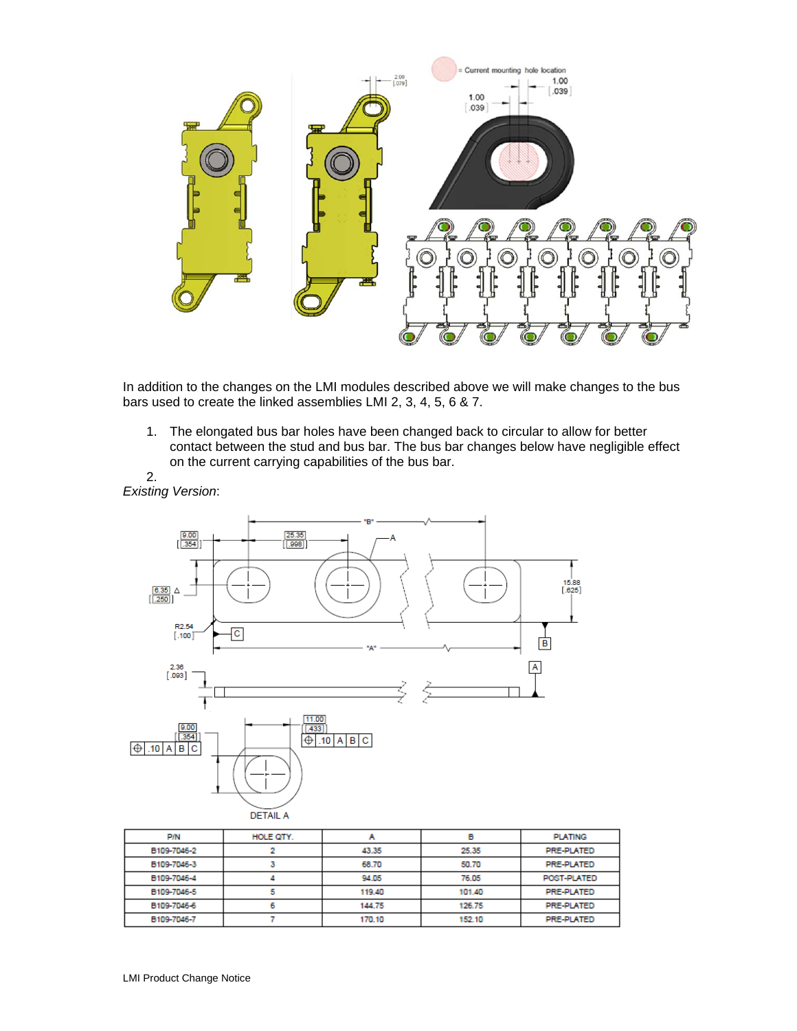

In addition to the changes on the LMI modules described above we will make changes to the bus bars used to create the linked assemblies LMI 2, 3, 4, 5, 6 & 7.

1. The elongated bus bar holes have been changed back to circular to allow for better contact between the stud and bus bar. The bus bar changes below have negligible effect on the current carrying capabilities of the bus bar. 2.

![](_page_1_Figure_3.jpeg)

| <b>P/N</b>  | HOLE QTY. |        | в      | <b>PLATING</b>    |
|-------------|-----------|--------|--------|-------------------|
| B109-7046-2 |           | 43.35  | 25.35  | PRE-PLATED        |
| B109-7046-3 |           | 68.70  | 50.70  | <b>PRE-PLATED</b> |
| B109-7046-4 |           | 94.05  | 76.05  | POST-PLATED       |
| B109-7046-5 |           | 119.40 | 101.40 | PRE-PLATED        |
| B109-7046-6 |           | 144.75 | 126.75 | PRE-PLATED        |
| B109-7046-7 |           | 170.10 | 152.10 | PRE-PLATED        |

*Existing Version*: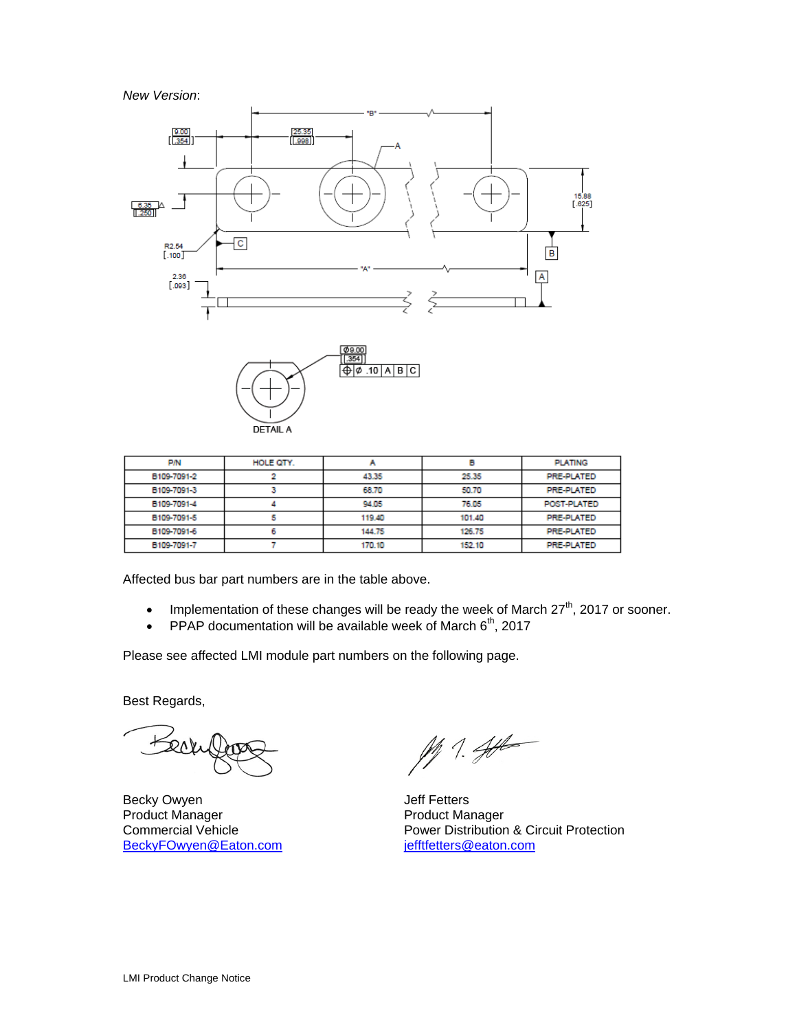### *New Version*:

![](_page_2_Figure_1.jpeg)

![](_page_2_Figure_2.jpeg)

| <b>P/N</b>  | HOLE QTY. |        |        | <b>PLATING</b> |
|-------------|-----------|--------|--------|----------------|
| B109-7091-2 |           | 43.35  | 25.35  | PRE-PLATED     |
| B109-7091-3 |           | 68.70  | 50.70  | PRE-PLATED     |
| B109-7091-4 |           | 94.05  | 76.05  | POST-PLATED    |
| B109-7091-5 |           | 119.40 | 101.40 | PRE-PLATED     |
| B109-7091-6 |           | 144.75 | 126.75 | PRE-PLATED     |
| B109-7091-7 |           | 170.10 | 152.10 | PRE-PLATED     |

Affected bus bar part numbers are in the table above.

- Implementation of these changes will be ready the week of March  $27<sup>th</sup>$ , 2017 or sooner.
- PPAP documentation will be available week of March  $6<sup>th</sup>$ , 2017

Please see affected LMI module part numbers on the following page.

Best Regards,

Beck

Becky Owyen **Decky** Owyen **Jeff Fetters** Product Manager **Product Manager Commercial Vehicle Product Manager** Power Distribution BeckyFOwyen@Eaton.com

 $M 1.44$ 

Power Distribution & Circuit Protection<br>jefftfetters@eaton.com